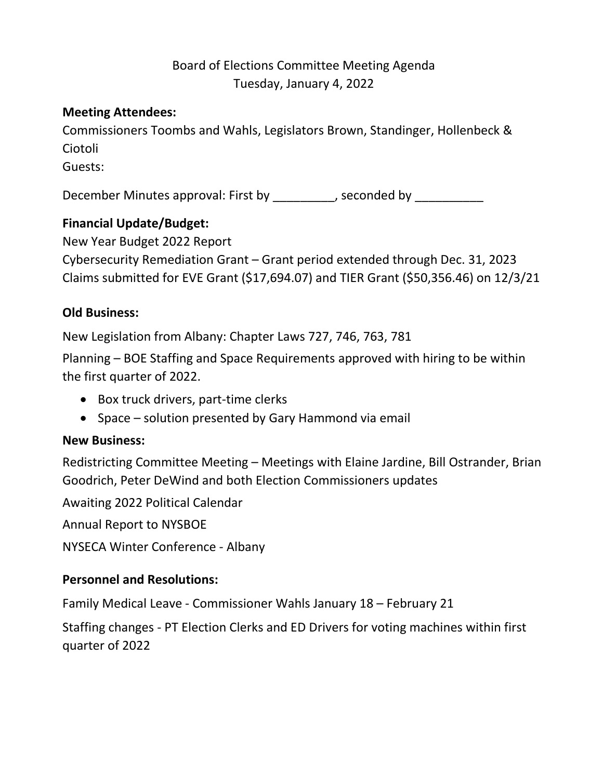# Board of Elections Committee Meeting Agenda Tuesday, January 4, 2022

## **Meeting Attendees:**

Commissioners Toombs and Wahls, Legislators Brown, Standinger, Hollenbeck & Ciotoli

Guests:

December Minutes approval: First by The conded by perconded by  $\overline{\phantom{a}}$ , seconded by

## **Financial Update/Budget:**

New Year Budget 2022 Report

Cybersecurity Remediation Grant – Grant period extended through Dec. 31, 2023 Claims submitted for EVE Grant (\$17,694.07) and TIER Grant (\$50,356.46) on 12/3/21

## **Old Business:**

New Legislation from Albany: Chapter Laws 727, 746, 763, 781

Planning – BOE Staffing and Space Requirements approved with hiring to be within the first quarter of 2022.

- Box truck drivers, part-time clerks
- Space solution presented by Gary Hammond via email

## **New Business:**

Redistricting Committee Meeting – Meetings with Elaine Jardine, Bill Ostrander, Brian Goodrich, Peter DeWind and both Election Commissioners updates

Awaiting 2022 Political Calendar

Annual Report to NYSBOE

NYSECA Winter Conference - Albany

## **Personnel and Resolutions:**

Family Medical Leave - Commissioner Wahls January 18 – February 21

Staffing changes - PT Election Clerks and ED Drivers for voting machines within first quarter of 2022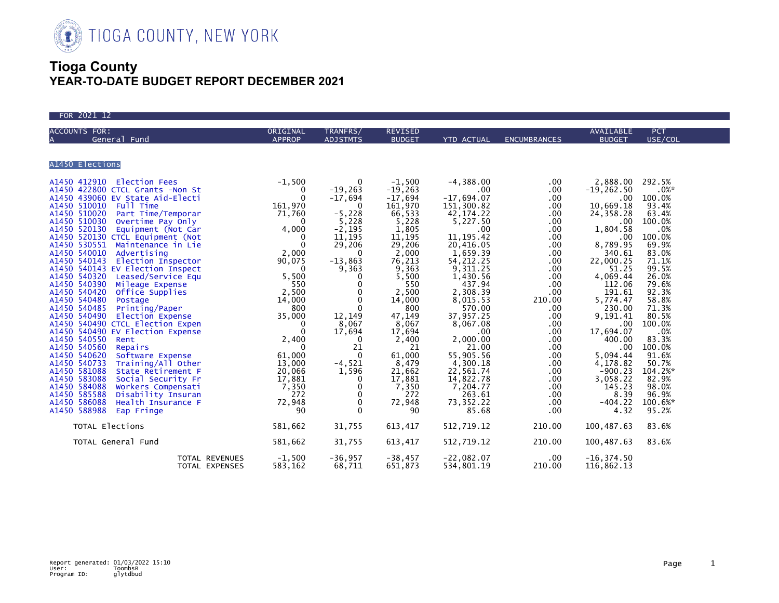

| FOR 2021 12                                                                                                                                                                                                                                                                                                                                    |                           |                             |                                 |                                                                                                                                                                                                                                                                                                                                                                            |                                                                                                                                                                                                                                                                                                             |                                                                                                                                                                                                                                                                                                                                              |                                                                                                                                                                                                                                                                                    |
|------------------------------------------------------------------------------------------------------------------------------------------------------------------------------------------------------------------------------------------------------------------------------------------------------------------------------------------------|---------------------------|-----------------------------|---------------------------------|----------------------------------------------------------------------------------------------------------------------------------------------------------------------------------------------------------------------------------------------------------------------------------------------------------------------------------------------------------------------------|-------------------------------------------------------------------------------------------------------------------------------------------------------------------------------------------------------------------------------------------------------------------------------------------------------------|----------------------------------------------------------------------------------------------------------------------------------------------------------------------------------------------------------------------------------------------------------------------------------------------------------------------------------------------|------------------------------------------------------------------------------------------------------------------------------------------------------------------------------------------------------------------------------------------------------------------------------------|
| <b>ACCOUNTS FOR:</b><br>General Fund                                                                                                                                                                                                                                                                                                           | ORIGINAL<br><b>APPROP</b> | TRANFRS/<br><b>ADJSTMTS</b> | <b>REVISED</b><br><b>BUDGET</b> | YTD ACTUAL                                                                                                                                                                                                                                                                                                                                                                 | <b>ENCUMBRANCES</b>                                                                                                                                                                                                                                                                                         | AVAILABLE<br><b>BUDGET</b>                                                                                                                                                                                                                                                                                                                   | <b>PCT</b><br>USE/COL                                                                                                                                                                                                                                                              |
| A1450 Elections                                                                                                                                                                                                                                                                                                                                |                           |                             |                                 |                                                                                                                                                                                                                                                                                                                                                                            |                                                                                                                                                                                                                                                                                                             |                                                                                                                                                                                                                                                                                                                                              |                                                                                                                                                                                                                                                                                    |
| 3.5<br>2.1, 0<br>2.1,760<br>2.1,760<br>2.1,760<br>2.1,760<br>2.1,760<br>2.1,760<br>2.1,1,760<br>2.1,1,760<br>2.1,1,760<br>2.1,1,760<br>2.1,1,760<br>2.1,1,760<br>2.1,1,760<br>2.1,1,760<br>2.1,1,760<br>2.1,1,760<br>2.1,1,760<br>2.1,1,760<br>2.1,1,760<br>2.1,1,760<br>2<br>A1450 586088<br>Health Insurance F<br>A1450 588988<br>Eap Fringe | 72,948<br>90              | $_{0}^{0}$                  | 72,948<br>90                    | $-4,388.00$<br>$\sim$ 00<br>$-17,694.07$<br>151,300.82<br>42,174.22<br>5,227.50<br>.00<br>11, 195.42<br>20,416.05<br>1,659.39<br>54, 212.25<br>9,311.25<br>1,430.56<br>437.94<br>2,308.39<br>8,015.53<br>570.00<br>37,957.25<br>8,067.08<br>$.00 \,$<br>2,000.00<br>21.00<br>55,905.56<br>4,300.18<br>22,561.74<br>14,822.78<br>7,204.77<br>263.61<br>73, 352. 22<br>85.68 | $.00 \,$<br>$.00 \,$<br>.00<br>$.00 \,$<br>$.00 \,$<br>.00<br>.00<br>$.00 \,$<br>.00<br>$.00 \,$<br>.00<br>$.00 \,$<br>$.00 \,$<br>.00<br>$.00 \,$<br>210.00<br>.00<br>$.00 \,$<br>.00<br>$.00 \,$<br>.00<br>$.00 \,$<br>$.00 \,$<br>$.00 \,$<br>.00<br>$.00 \,$<br>$.00 \,$<br>.00<br>$.00 \,$<br>$.00 \,$ | 2,888.00<br>$-19, 262.50$<br>$.00 \,$<br>10,669.18<br>24,358.28<br>.00<br>1,804.58<br>$.00 \,$<br>8,789.95<br>340.61<br>22,000.25<br>51.25<br>4,069.44<br>112.06<br>191.61<br>5,774.47<br>230.00<br>9,191.41<br>.00<br>17,694.07<br>400.00<br>$.00 \,$<br>5,094.44<br>4,178.82<br>$-900.23$<br>3,058.22<br>145.23<br>8.39<br>-404.22<br>4.32 | 292.5%<br>$.0\%*$<br>100.0%<br>93.4%<br>63.4%<br>100.0%<br>.0%<br>100.0%<br>69.9%<br>83.0%<br>71.1%<br>99.5%<br>26.0%<br>79.6%<br>92.3%<br>58.8%<br>71.3%<br>80.5%<br>100.0%<br>.0%<br>83.3%<br>100.0%<br>91.6%<br>50.7%<br>104.2%*<br>82.9%<br>98.0%<br>96.9%<br>100.6%*<br>95.2% |
| TOTAL Elections<br>TOTAL General Fund                                                                                                                                                                                                                                                                                                          | 581,662<br>581,662        | 31,755<br>31,755            | 613,417<br>613,417              | 512,719.12<br>512,719.12                                                                                                                                                                                                                                                                                                                                                   | 210.00<br>210.00                                                                                                                                                                                                                                                                                            | 100,487.63<br>100,487.63                                                                                                                                                                                                                                                                                                                     | 83.6%<br>83.6%                                                                                                                                                                                                                                                                     |
| TOTAL REVENUES<br>TOTAL EXPENSES                                                                                                                                                                                                                                                                                                               | $-1,500$<br>583,162       | $-36,957$<br>68,711         | $-38,457$<br>651,873            | $-22,082.07$<br>534,801.19                                                                                                                                                                                                                                                                                                                                                 | .00.<br>210.00                                                                                                                                                                                                                                                                                              | $-16, 374.50$<br>116,862.13                                                                                                                                                                                                                                                                                                                  |                                                                                                                                                                                                                                                                                    |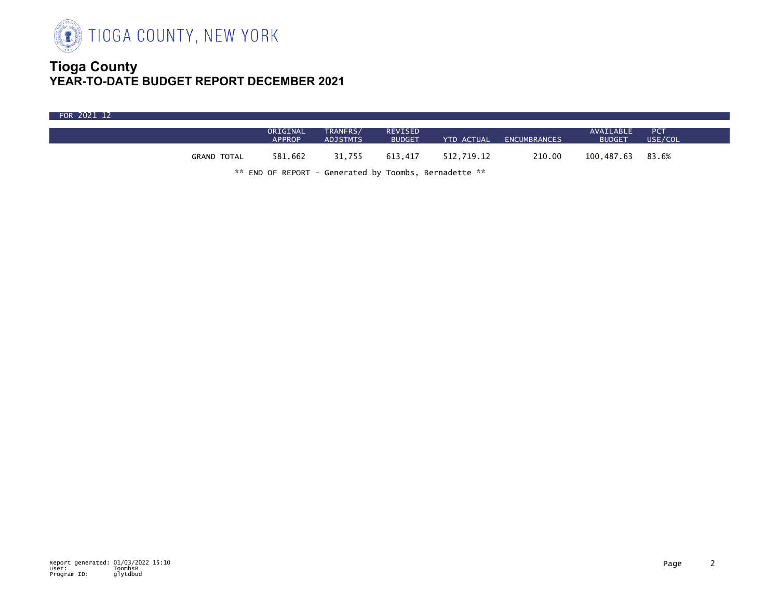

| FOR 2021 12 |                                                                                  |                           |                             |                          |            |                     |                            |                       |  |
|-------------|----------------------------------------------------------------------------------|---------------------------|-----------------------------|--------------------------|------------|---------------------|----------------------------|-----------------------|--|
|             |                                                                                  | ORIGINAL<br><b>APPROP</b> | TRANFRS/<br><b>ADJSTMTS</b> | REVISED<br><b>BUDGET</b> | YTD ACTUAL | <b>ENCUMBRANCES</b> | AVAILABLE<br><b>BUDGET</b> | <b>PCT</b><br>USE/COL |  |
|             | <b>GRAND TOTAL</b>                                                               | 581,662                   | 31,755                      | 613.417                  | 512,719.12 | 210.00              | 100,487.63                 | 83.6%                 |  |
|             | $\frac{66}{36}$ FND OF BEBORT - Concreted by Teembe - Bernadette $\frac{66}{36}$ |                           |                             |                          |            |                     |                            |                       |  |

END OF REPORT - Generated by Toombs, Bernadette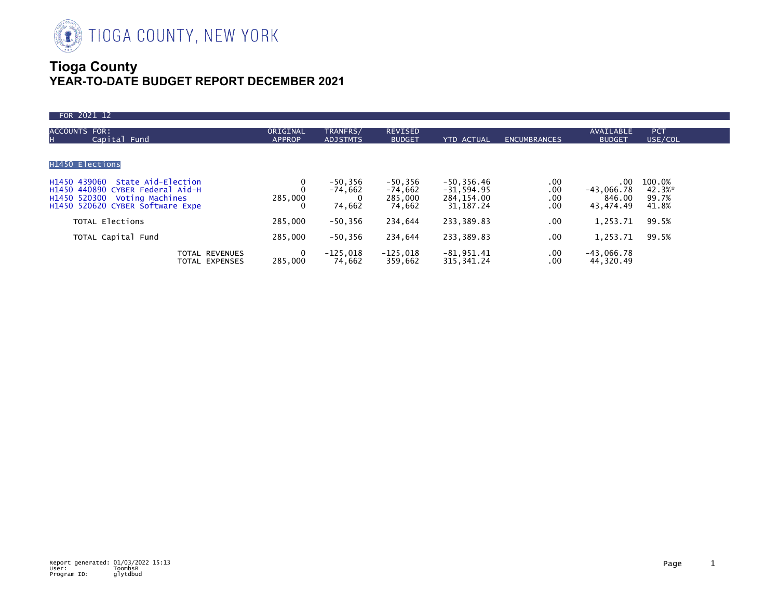

| FOR 2021 12                                                                                                                                          |                           |                                  |                                              |                                                             |                          |                                            |                                    |
|------------------------------------------------------------------------------------------------------------------------------------------------------|---------------------------|----------------------------------|----------------------------------------------|-------------------------------------------------------------|--------------------------|--------------------------------------------|------------------------------------|
| <b>ACCOUNTS FOR:</b><br>Capital Fund<br>н                                                                                                            | ORIGINAL<br><b>APPROP</b> | TRANFRS/<br><b>ADJSTMTS</b>      | <b>REVISED</b><br><b>BUDGET</b>              | <b>YTD ACTUAL</b>                                           | <b>ENCUMBRANCES</b>      | AVAILABLE<br><b>BUDGET</b>                 | <b>PCT</b><br>USE/COL              |
| H1450 Elections                                                                                                                                      |                           |                                  |                                              |                                                             |                          |                                            |                                    |
| H1450 439060<br>State Aid-Election<br>H1450 440890 CYBER Federal Aid-H<br>H1450 520300<br><b>Voting Machines</b><br>H1450 520620 CYBER Software Expe | 285,000                   | $-50,356$<br>$-74,662$<br>74,662 | $-50, 356$<br>$-74,662$<br>285,000<br>74,662 | $-50, 356.46$<br>$-31,594.95$<br>284, 154.00<br>31, 187. 24 | .00<br>.00<br>.00<br>.00 | .00<br>$-43,066.78$<br>846.00<br>43,474.49 | 100.0%<br>42.3%*<br>99.7%<br>41.8% |
| TOTAL Elections                                                                                                                                      | 285,000                   | $-50,356$                        | 234,644                                      | 233,389.83                                                  | .00                      | 1,253.71                                   | 99.5%                              |
| TOTAL Capital Fund                                                                                                                                   | 285,000                   | $-50,356$                        | 234,644                                      | 233,389.83                                                  | .00                      | 1,253.71                                   | 99.5%                              |
| <b>TOTAL REVENUES</b><br>TOTAL EXPENSES                                                                                                              | 0<br>285.000              | $-125.018$<br>74.662             | $-125,018$<br>359.662                        | $-81,951.41$<br>315, 341.24                                 | $.00 \,$<br>.00          | $-43,066.78$<br>44,320.49                  |                                    |